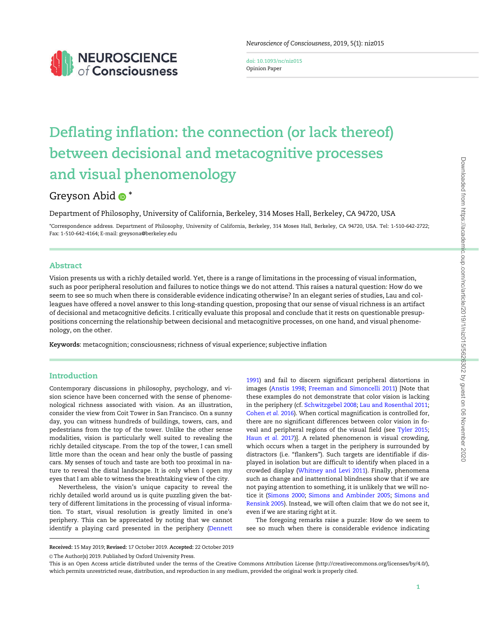

Neuroscience of Consciousness, 2019, 5(1): niz015

doi: 10.1093/nc/niz015 Opinion Paper

# Deflating inflation: the connection (or lack thereof) between decisional and metacognitive processes and visual phenomenology

# Greyson Abid  $\bullet^*$

Department of Philosophy, University of California, Berkeley, 314 Moses Hall, Berkeley, CA 94720, USA

\*Correspondence address. Department of Philosophy, University of California, Berkeley, 314 Moses Hall, Berkeley, CA 94720, USA. Tel: 1-510-642-2722; Fax: 1-510-642-4164; E-mail: greysona@berkeley.edu

# Abstract

Vision presents us with a richly detailed world. Yet, there is a range of limitations in the processing of visual information, such as poor peripheral resolution and failures to notice things we do not attend. This raises a natural question: How do we seem to see so much when there is considerable evidence indicating otherwise? In an elegant series of studies, Lau and colleagues have offered a novel answer to this long-standing question, proposing that our sense of visual richness is an artifact of decisional and metacognitive deficits. I critically evaluate this proposal and conclude that it rests on questionable presuppositions concerning the relationship between decisional and metacognitive processes, on one hand, and visual phenomenology, on the other.

Keywords: metacognition; consciousness; richness of visual experience; subjective inflation

# Introduction

Contemporary discussions in philosophy, psychology, and vision science have been concerned with the sense of phenomenological richness associated with vision. As an illustration, consider the view from Coit Tower in San Francisco. On a sunny day, you can witness hundreds of buildings, towers, cars, and pedestrians from the top of the tower. Unlike the other sense modalities, vision is particularly well suited to revealing the richly detailed cityscape. From the top of the tower, I can smell little more than the ocean and hear only the bustle of passing cars. My senses of touch and taste are both too proximal in nature to reveal the distal landscape. It is only when I open my eyes that I am able to witness the breathtaking view of the city.

Nevertheless, the vision's unique capacity to reveal the richly detailed world around us is quite puzzling given the battery of different limitations in the processing of visual information. To start, visual resolution is greatly limited in one's periphery. This can be appreciated by noting that we cannot identify a playing card presented in the periphery [\(Dennett](#page-5-0)

[1991\)](#page-5-0) and fail to discern significant peripheral distortions in images ([Anstis 1998;](#page-5-0) [Freeman and Simoncelli 2011\)](#page-5-0) [Note that these examples do not demonstrate that color vision is lacking in the periphery (cf. [Schwitzgebel 2008](#page-5-0); [Lau and Rosenthal 2011](#page-5-0); [Cohen](#page-5-0) et al. 2016). When cortical magnification is controlled for, there are no significant differences between color vision in foveal and peripheral regions of the visual field (see [Tyler 2015](#page-6-0); [Haun](#page-5-0) et al. 2017)]. A related phenomenon is visual crowding, which occurs when a target in the periphery is surrounded by distractors (i.e. "flankers"). Such targets are identifiable if displayed in isolation but are difficult to identify when placed in a crowded display [\(Whitney and Levi 2011\)](#page-6-0). Finally, phenomena such as change and inattentional blindness show that if we are not paying attention to something, it is unlikely that we will notice it [\(Simons 2000;](#page-5-0) [Simons and Ambinder 2005](#page-6-0); [Simons and](#page-6-0) [Rensink 2005](#page-6-0)). Instead, we will often claim that we do not see it, even if we are staring right at it.

The foregoing remarks raise a puzzle: How do we seem to see so much when there is considerable evidence indicating

© The Author(s) 2019. Published by Oxford University Press.

Received: 15 May 2019; Revised: 17 October 2019. Accepted: 22 October 2019

This is an Open Access article distributed under the terms of the Creative Commons Attribution License (http://creativecommons.org/licenses/by/4.0/), which permits unrestricted reuse, distribution, and reproduction in any medium, provided the original work is properly cited.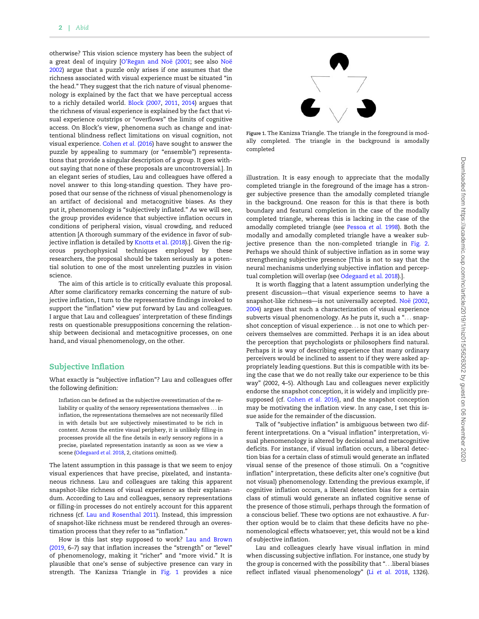otherwise? This vision science mystery has been the subject of a great deal of inquiry [O'Regan and Noë (2001; see also Noë [2002\)](#page-5-0) argue that a puzzle only arises if one assumes that the richness associated with visual experience must be situated "in the head." They suggest that the rich nature of visual phenomenology is explained by the fact that we have perceptual access to a richly detailed world. [Block \(2007,](#page-5-0) [2011](#page-5-0), [2014](#page-5-0)) argues that the richness of visual experience is explained by the fact that visual experience outstrips or "overflows" the limits of cognitive access. On Block's view, phenomena such as change and inattentional blindness reflect limitations on visual cognition, not visual experience. [Cohen](#page-5-0) et al. (2016) have sought to answer the puzzle by appealing to summary (or "ensemble") representations that provide a singular description of a group. It goes without saying that none of these proposals are uncontroversial.]. In an elegant series of studies, Lau and colleagues have offered a novel answer to this long-standing question. They have proposed that our sense of the richness of visual phenomenology is an artifact of decisional and metacognitive biases. As they put it, phenomenology is "subjectively inflated." As we will see, the group provides evidence that subjective inflation occurs in conditions of peripheral vision, visual crowding, and reduced attention [A thorough summary of the evidence in favor of subjective inflation is detailed by [Knotts et al. \(2018\)](#page-5-0).]. Given the rigorous psychophysical techniques employed by these researchers, the proposal should be taken seriously as a potential solution to one of the most unrelenting puzzles in vision science.

The aim of this article is to critically evaluate this proposal. After some clarificatory remarks concerning the nature of subjective inflation, I turn to the representative findings invoked to support the "inflation" view put forward by Lau and colleagues. I argue that Lau and colleagues' interpretation of these findings rests on questionable presuppositions concerning the relationship between decisional and metacognitive processes, on one hand, and visual phenomenology, on the other.

# Subjective Inflation

What exactly is "subjective inflation"? Lau and colleagues offer the following definition:

Inflation can be defined as the subjective overestimation of the reliability or quality of the sensory representations themselves ... in inflation, the representations themselves are not necessarily filled in with details but are subjectively misestimated to be rich in content. Across the entire visual periphery, it is unlikely filling-in processes provide all the fine details in early sensory regions in a precise, pixelated representation instantly as soon as we view a scene ([Odegaard](#page-5-0) et al. 2018, 2, citations omitted).

The latent assumption in this passage is that we seem to enjoy visual experiences that have precise, pixelated, and instantaneous richness. Lau and colleagues are taking this apparent snapshot-like richness of visual experience as their explanandum. According to Lau and colleagues, sensory representations or filling-in processes do not entirely account for this apparent richness (cf. [Lau and Rosenthal 2011\)](#page-5-0). Instead, this impression of snapshot-like richness must be rendered through an overestimation process that they refer to as "inflation."

How is this last step supposed to work? [Lau and Brown](#page-5-0) [\(2019](#page-5-0), 6–7) say that inflation increases the "strength" or "level" of phenomenology, making it "richer" and "more vivid." It is plausible that one's sense of subjective presence can vary in strength. The Kanizsa Triangle in Fig. 1 provides a nice



Figure 1. The Kanizsa Triangle. The triangle in the foreground is modally completed. The triangle in the background is amodally completed

illustration. It is easy enough to appreciate that the modally completed triangle in the foreground of the image has a stronger subjective presence than the amodally completed triangle in the background. One reason for this is that there is both boundary and featural completion in the case of the modally completed triangle, whereas this is lacking in the case of the amodally completed triangle (see [Pessoa](#page-5-0) et al. 1998). Both the modally and amodally completed triangle have a weaker subjective presence than the non-completed triangle in [Fig. 2](#page-2-0). Perhaps we should think of subjective inflation as in some way strengthening subjective presence [This is not to say that the neural mechanisms underlying subjective inflation and perceptual completion will overlap (see [Odegaard et al. 2018\)](#page-5-0).].

It is worth flagging that a latent assumption underlying the present discussion—that visual experience seems to have a snapshot-like richness—is not universally accepted. Noë (2002, [2004\)](#page-5-0) argues that such a characterization of visual experience subverts visual phenomenology. As he puts it, such a "... snapshot conception of visual experience... is not one to which perceivers themselves are committed. Perhaps it is an idea about the perception that psychologists or philosophers find natural. Perhaps it is way of describing experience that many ordinary perceivers would be inclined to assent to if they were asked appropriately leading questions. But this is compatible with its being the case that we do not really take our experience to be this way" (2002, 4–5). Although Lau and colleagues never explicitly endorse the snapshot conception, it is widely and implicitly presupposed (cf. [Cohen](#page-5-0) et al. 2016), and the snapshot conception may be motivating the inflation view. In any case, I set this issue aside for the remainder of the discussion.

Talk of "subjective inflation" is ambiguous between two different interpretations. On a "visual inflation" interpretation, visual phenomenology is altered by decisional and metacognitive deficits. For instance, if visual inflation occurs, a liberal detection bias for a certain class of stimuli would generate an inflated visual sense of the presence of those stimuli. On a "cognitive inflation" interpretation, these deficits alter one's cognitive (but not visual) phenomenology. Extending the previous example, if cognitive inflation occurs, a liberal detection bias for a certain class of stimuli would generate an inflated cognitive sense of the presence of those stimuli, perhaps through the formation of a conscious belief. These two options are not exhaustive. A further option would be to claim that these deficits have no phenomenological effects whatsoever; yet, this would not be a kind of subjective inflation.

Lau and colleagues clearly have visual inflation in mind when discussing subjective inflation. For instance, one study by the group is concerned with the possibility that "...liberal biases reflect inflated visual phenomenology" (Li [et al.](#page-5-0) 2018, 1326).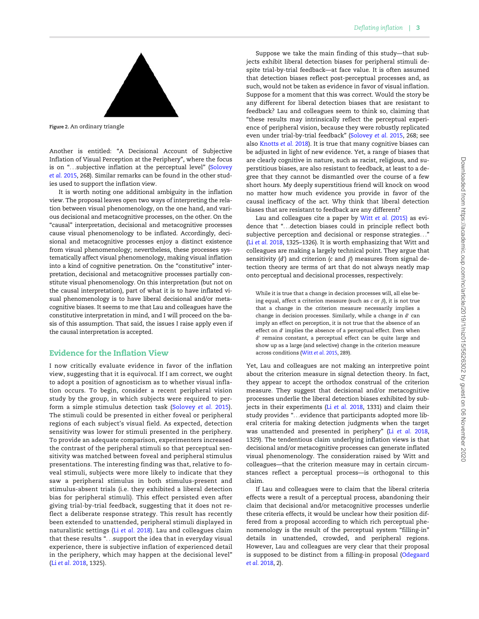<span id="page-2-0"></span>

Figure 2. An ordinary triangle

Another is entitled: "A Decisional Account of Subjective Inflation of Visual Perception at the Periphery", where the focus is on "...subjective inflation at the perceptual level" ([Solovey](#page-6-0) [et al.](#page-6-0) 2015, 268). Similar remarks can be found in the other studies used to support the inflation view.

It is worth noting one additional ambiguity in the inflation view. The proposal leaves open two ways of interpreting the relation between visual phenomenology, on the one hand, and various decisional and metacognitive processes, on the other. On the "causal" interpretation, decisional and metacognitive processes cause visual phenomenology to be inflated. Accordingly, decisional and metacognitive processes enjoy a distinct existence from visual phenomenology; nevertheless, these processes systematically affect visual phenomenology, making visual inflation into a kind of cognitive penetration. On the "constitutive" interpretation, decisional and metacognitive processes partially constitute visual phenomenology. On this interpretation (but not on the causal interpretation), part of what it is to have inflated visual phenomenology is to have liberal decisional and/or metacognitive biases. It seems to me that Lau and colleagues have the constitutive interpretation in mind, and I will proceed on the basis of this assumption. That said, the issues I raise apply even if the causal interpretation is accepted.

# Evidence for the Inflation View

I now critically evaluate evidence in favor of the inflation view, suggesting that it is equivocal. If I am correct, we ought to adopt a position of agnosticism as to whether visual inflation occurs. To begin, consider a recent peripheral vision study by the group, in which subjects were required to perform a simple stimulus detection task [\(Solovey](#page-6-0) et al. 2015). The stimuli could be presented in either foveal or peripheral regions of each subject's visual field. As expected, detection sensitivity was lower for stimuli presented in the periphery. To provide an adequate comparison, experimenters increased the contrast of the peripheral stimuli so that perceptual sensitivity was matched between foveal and peripheral stimulus presentations. The interesting finding was that, relative to foveal stimuli, subjects were more likely to indicate that they saw a peripheral stimulus in both stimulus-present and stimulus-absent trials (i.e. they exhibited a liberal detection bias for peripheral stimuli). This effect persisted even after giving trial-by-trial feedback, suggesting that it does not reflect a deliberate response strategy. This result has recently been extended to unattended, peripheral stimuli displayed in naturalistic settings (Li [et al.](#page-5-0) 2018). Lau and colleagues claim that these results "...support the idea that in everyday visual experience, there is subjective inflation of experienced detail in the periphery, which may happen at the decisional level" (Li et al. [2018](#page-5-0), 1325).

Suppose we take the main finding of this study—that subjects exhibit liberal detection biases for peripheral stimuli despite trial-by-trial feedback—at face value. It is often assumed that detection biases reflect post-perceptual processes and, as such, would not be taken as evidence in favor of visual inflation. Suppose for a moment that this was correct. Would the story be any different for liberal detection biases that are resistant to feedback? Lau and colleagues seem to think so, claiming that "these results may intrinsically reflect the perceptual experience of peripheral vision, because they were robustly replicated even under trial-by-trial feedback" [\(Solovey](#page-6-0) et al. 2015, 268; see also [Knotts](#page-5-0) et al. 2018). It is true that many cognitive biases can be adjusted in light of new evidence. Yet, a range of biases that are clearly cognitive in nature, such as racist, religious, and superstitious biases, are also resistant to feedback, at least to a degree that they cannot be dismantled over the course of a few short hours. My deeply superstitious friend will knock on wood no matter how much evidence you provide in favor of the causal inefficacy of the act. Why think that liberal detection biases that are resistant to feedback are any different?

Lau and colleagues cite a paper by Witt et al. [\(2015\)](#page-6-0) as evidence that "...detection biases could in principle reflect both subjective perception and decisional or response strategies..." (Li et al. [2018,](#page-5-0) 1325–1326). It is worth emphasizing that Witt and colleagues are making a largely technical point. They argue that sensitivity (d') and criterion (c and  $\beta$ ) measures from signal detection theory are terms of art that do not always neatly map onto perceptual and decisional processes, respectively:

While it is true that a change in decision processes will, all else being equal, affect a criterion measure (such as c or  $\beta$ ), it is not true that a change in the criterion measure necessarily implies a change in decision processes. Similarly, while a change in  $d'$  can imply an effect on perception, it is not true that the absence of an effect on  $d'$  implies the absence of a perceptual effect. Even when  $d'$  remains constant, a perceptual effect can be quite large and show up as a large (and selective) change in the criterion measure across conditions (Witt et al[. 2015](#page-6-0), 289).

Yet, Lau and colleagues are not making an interpretive point about the criterion measure in signal detection theory. In fact, they appear to accept the orthodox construal of the criterion measure. They suggest that decisional and/or metacognitive processes underlie the liberal detection biases exhibited by subjects in their experiments (Li [et al.](#page-5-0) 2018, 1331) and claim their study provides "...evidence that participants adopted more liberal criteria for making detection judgments when the target was unattended and presented in periphery" (Li [et al.](#page-5-0) 2018, 1329). The tendentious claim underlying inflation views is that decisional and/or metacognitive processes can generate inflated visual phenomenology. The consideration raised by Witt and colleagues—that the criterion measure may in certain circumstances reflect a perceptual process—is orthogonal to this claim.

If Lau and colleagues were to claim that the liberal criteria effects were a result of a perceptual process, abandoning their claim that decisional and/or metacognitive processes underlie these criteria effects, it would be unclear how their position differed from a proposal according to which rich perceptual phenomenology is the result of the perceptual system "filling-in" details in unattended, crowded, and peripheral regions. However, Lau and colleagues are very clear that their proposal is supposed to be distinct from a filling-in proposal [\(Odegaard](#page-5-0) et al. [2018,](#page-5-0) 2).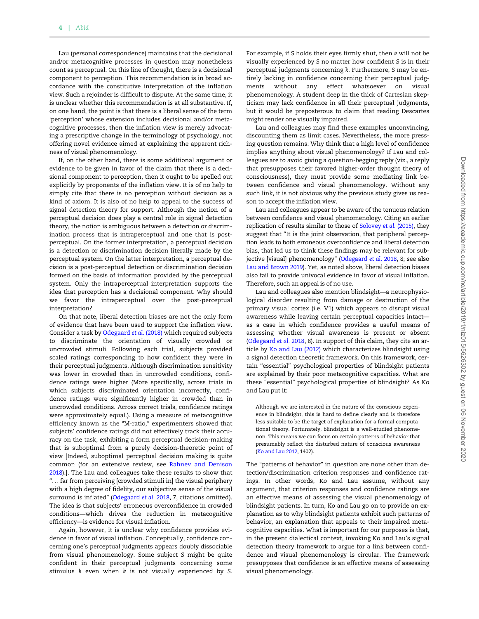Lau (personal correspondence) maintains that the decisional and/or metacognitive processes in question may nonetheless count as perceptual. On this line of thought, there is a decisional component to perception. This recommendation is in broad accordance with the constitutive interpretation of the inflation view. Such a rejoinder is difficult to dispute. At the same time, it is unclear whether this recommendation is at all substantive. If, on one hand, the point is that there is a liberal sense of the term 'perception' whose extension includes decisional and/or metacognitive processes, then the inflation view is merely advocating a prescriptive change in the terminology of psychology, not offering novel evidence aimed at explaining the apparent richness of visual phenomenology.

If, on the other hand, there is some additional argument or evidence to be given in favor of the claim that there is a decisional component to perception, then it ought to be spelled out explicitly by proponents of the inflation view. It is of no help to simply cite that there is no perception without decision as a kind of axiom. It is also of no help to appeal to the success of signal detection theory for support. Although the notion of a perceptual decision does play a central role in signal detection theory, the notion is ambiguous between a detection or discrimination process that is intraperceptual and one that is postperceptual. On the former interpretation, a perceptual decision is a detection or discrimination decision literally made by the perceptual system. On the latter interpretation, a perceptual decision is a post-perceptual detection or discrimination decision formed on the basis of information provided by the perceptual system. Only the intraperceptual interpretation supports the idea that perception has a decisional component. Why should we favor the intraperceptual over the post-perceptual interpretation?

On that note, liberal detection biases are not the only form of evidence that have been used to support the inflation view. Consider a task by [Odegaard](#page-5-0) et al. (2018) which required subjects to discriminate the orientation of visually crowded or uncrowded stimuli. Following each trial, subjects provided scaled ratings corresponding to how confident they were in their perceptual judgments. Although discrimination sensitivity was lower in crowded than in uncrowded conditions, confidence ratings were higher (More specifically, across trials in which subjects discriminated orientation incorrectly, confidence ratings were significantly higher in crowded than in uncrowded conditions. Across correct trials, confidence ratings were approximately equal.). Using a measure of metacognitive efficiency known as the "M-ratio," experimenters showed that subjects' confidence ratings did not effectively track their accuracy on the task, exhibiting a form perceptual decision-making that is suboptimal from a purely decision-theoretic point of view [Indeed, suboptimal perceptual decision making is quite common (for an extensive review, see [Rahnev and Denison](#page-5-0) [2018\)](#page-5-0).]. The Lau and colleagues take these results to show that "... far from perceiving [crowded stimuli in] the visual periphery with a high degree of fidelity, our subjective sense of the visual surround is inflated" [\(Odegaard](#page-5-0) et al. 2018, 7, citations omitted). The idea is that subjects' erroneous overconfidence in crowded conditions—which drives the reduction in metacognitive efficiency—is evidence for visual inflation.

Again, however, it is unclear why confidence provides evidence in favor of visual inflation. Conceptually, confidence concerning one's perceptual judgments appears doubly dissociable from visual phenomenology. Some subject S might be quite confident in their perceptual judgments concerning some stimulus k even when k is not visually experienced by S.

For example, if S holds their eyes firmly shut, then k will not be visually experienced by S no matter how confident S is in their perceptual judgments concerning k. Furthermore, S may be entirely lacking in confidence concerning their perceptual judgments without any effect whatsoever on visual phenomenology. A student deep in the thick of Cartesian skepticism may lack confidence in all their perceptual judgments, but it would be preposterous to claim that reading Descartes might render one visually impaired.

Lau and colleagues may find these examples unconvincing, discounting them as limit cases. Nevertheless, the more pressing question remains: Why think that a high level of confidence implies anything about visual phenomenology? If Lau and colleagues are to avoid giving a question-begging reply (viz., a reply that presupposes their favored higher-order thought theory of consciousness), they must provide some mediating link between confidence and visual phenomenology. Without any such link, it is not obvious why the previous study gives us reason to accept the inflation view.

Lau and colleagues appear to be aware of the tenuous relation between confidence and visual phenomenology. Citing an earlier replication of results similar to those of [Solovey](#page-6-0) et al. (2015), they suggest that "It is the joint observation, that peripheral perception leads to both erroneous overconfidence and liberal detection bias, that led us to think these findings may be relevant for subjective [visual] phenomenology" ([Odegaard](#page-5-0) et al. 2018, 8; see also [Lau and Brown 2019](#page-5-0)). Yet, as noted above, liberal detection biases also fail to provide univocal evidence in favor of visual inflation. Therefore, such an appeal is of no use.

Lau and colleagues also mention blindsight—a neurophysiological disorder resulting from damage or destruction of the primary visual cortex (i.e. V1) which appears to disrupt visual awareness while leaving certain perceptual capacities intact as a case in which confidence provides a useful means of assessing whether visual awareness is present or absent [\(Odegaard](#page-5-0) et al. 2018, 8). In support of this claim, they cite an article by [Ko and Lau \(2012\)](#page-5-0) which characterizes blindsight using a signal detection theoretic framework. On this framework, certain "essential" psychological properties of blindsight patients are explained by their poor metacognitive capacities. What are these "essential" psychological properties of blindsight? As Ko and Lau put it:

Although we are interested in the nature of the conscious experience in blindsight, this is hard to define clearly and is therefore less suitable to be the target of explanation for a formal computational theory. Fortunately, blindsight is a well-studied phenomenon. This means we can focus on certain patterns of behavior that presumably reflect the disturbed nature of conscious awareness [\(Ko and Lau 2012](#page-5-0), 1402).

The "patterns of behavior" in question are none other than detection/discrimination criterion responses and confidence ratings. In other words, Ko and Lau assume, without any argument, that criterion responses and confidence ratings are an effective means of assessing the visual phenomenology of blindsight patients. In turn, Ko and Lau go on to provide an explanation as to why blindsight patients exhibit such patterns of behavior, an explanation that appeals to their impaired metacognitive capacities. What is important for our purposes is that, in the present dialectical context, invoking Ko and Lau's signal detection theory framework to argue for a link between confidence and visual phenomenology is circular. The framework presupposes that confidence is an effective means of assessing visual phenomenology.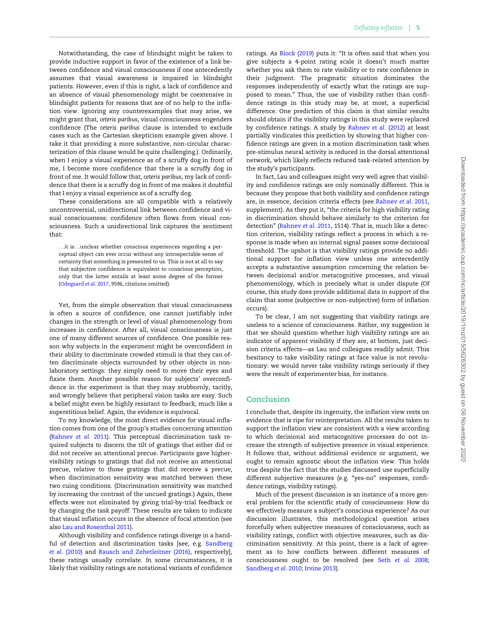Notwithstanding, the case of blindsight might be taken to provide inductive support in favor of the existence of a link between confidence and visual consciousness if one antecedently assumes that visual awareness is impaired in blindsight patients. However, even if this is right, a lack of confidence and an absence of visual phenomenology might be coextensive in blindsight patients for reasons that are of no help to the inflation view. Ignoring any counterexamples that may arise, we might grant that, ceteris paribus, visual consciousness engenders confidence (The ceteris paribus clause is intended to exclude cases such as the Cartesian skepticism example given above. I take it that providing a more substantive, non-circular characterization of this clause would be quite challenging.). Ordinarily, when I enjoy a visual experience as of a scruffy dog in front of me, I become more confidence that there is a scruffy dog in front of me. It would follow that, ceteris paribus, my lack of confidence that there is a scruffy dog in front of me makes it doubtful that I enjoy a visual experience as of a scruffy dog.

These considerations are all compatible with a relatively uncontroversial, unidirectional link between confidence and visual consciousness: confidence often flows from visual consciousness. Such a unidirectional link captures the sentiment that:

...it is...unclear whether conscious experiences regarding a perceptual object can ever occur without any introspectable sense of certainty that something is presented to us. This is not at all to say that subjective confidence is equivalent to conscious perception, only that the latter entails at least some degree of the former [\(Odegaard](#page-5-0) et al. 2017, 9596, citations omitted).

Yet, from the simple observation that visual consciousness is often a source of confidence, one cannot justifiably infer changes in the strength or level of visual phenomenology from increases in confidence. After all, visual consciousness is just one of many different sources of confidence. One possible reason why subjects in the experiment might be overconfident in their ability to discriminate crowded stimuli is that they can often discriminate objects surrounded by other objects in nonlaboratory settings: they simply need to move their eyes and fixate them. Another possible reason for subjects' overconfidence in the experiment is that they may stubbornly, tacitly, and wrongly believe that peripheral vision tasks are easy. Such a belief might even be highly resistant to feedback, much like a superstitious belief. Again, the evidence is equivocal.

To my knowledge, the most direct evidence for visual inflation comes from one of the group's studies concerning attention [\(Rahnev](#page-5-0) et al. 2011). This perceptual discrimination task required subjects to discern the tilt of gratings that either did or did not receive an attentional precue. Participants gave highervisibility ratings to gratings that did not receive an attentional precue, relative to those gratings that did receive a precue, when discrimination sensitivity was matched between these two cuing conditions. (Discrimination sensitivity was matched by increasing the contrast of the uncued gratings.) Again, these effects were not eliminated by giving trial-by-trial feedback or by changing the task payoff. These results are taken to indicate that visual inflation occurs in the absence of focal attention (see also [Lau and Rosenthal 2011](#page-5-0)).

Although visibility and confidence ratings diverge in a handful of detection and discrimination tasks [see, e.g. [Sandberg](#page-5-0) et al. [\(2010\)](#page-5-0) and [Rausch and Zehetleitner \(2016\)](#page-5-0), respectively], these ratings usually correlate. In some circumstances, it is likely that visibility ratings are notational variants of confidence ratings. As [Block \(2019\)](#page-5-0) puts it: "It is often said that when you give subjects a 4-point rating scale it doesn't much matter whether you ask them to rate visibility or to rate confidence in their judgment. The pragmatic situation dominates the responses independently of exactly what the ratings are supposed to mean." Thus, the use of visibility rather than confidence ratings in this study may be, at most, a superficial difference. One prediction of this claim is that similar results should obtain if the visibility ratings in this study were replaced by confidence ratings. A study by [Rahnev](#page-5-0) et al. (2012) at least partially vindicates this prediction by showing that higher confidence ratings are given in a motion discrimination task when pre-stimulus neural activity is reduced in the dorsal attentional network, which likely reflects reduced task-related attention by the study's participants.

In fact, Lau and colleagues might very well agree that visibility and confidence ratings are only nominally different. This is because they propose that both visibility and confidence ratings are, in essence, decision criteria effects (see [Rahnev](#page-5-0) et al. 2011, supplement). As they put it, "the criteria for high visibility rating in discrimination should behave similarly to the criterion for detection" ([Rahnev](#page-5-0) et al. 2011, 1514). That is, much like a detection criterion, visibility ratings reflect a process in which a response is made when an internal signal passes some decisional threshold. The upshot is that visibility ratings provide no additional support for inflation view unless one antecedently accepts a substantive assumption concerning the relation between decisional and/or metacognitive processes, and visual phenomenology, which is precisely what is under dispute (Of course, this study does provide additional data in support of the claim that some (subjective or non-subjective) form of inflation occurs).

To be clear, I am not suggesting that visibility ratings are useless to a science of consciousness. Rather, my suggestion is that we should question whether high visibility ratings are an indicator of apparent visibility if they are, at bottom, just decision criteria effects—as Lau and colleagues readily admit. This hesitancy to take visibility ratings at face value is not revolutionary: we would never take visibility ratings seriously if they were the result of experimenter bias, for instance.

#### Conclusion

I conclude that, despite its ingenuity, the inflation view rests on evidence that is ripe for reinterpretation. All the results taken to support the inflation view are consistent with a view according to which decisional and metacognitive processes do not increase the strength of subjective presence in visual experience. It follows that, without additional evidence or argument, we ought to remain agnostic about the inflation view. This holds true despite the fact that the studies discussed use superficially different subjective measures (e.g. "yes-no" responses, confidence ratings, visibility ratings).

Much of the present discussion is an instance of a more general problem for the scientific study of consciousness: How do we effectively measure a subject's conscious experience? As our discussion illustrates, this methodological question arises forcefully when subjective measures of consciousness, such as visibility ratings, conflict with objective measures, such as discrimination sensitivity. At this point, there is a lack of agreement as to how conflicts between different measures of consciousness ought to be resolved (see Seth [et al.](#page-5-0) 2008; [Sandberg](#page-5-0) et al. 2010; [Irvine 2013\)](#page-5-0).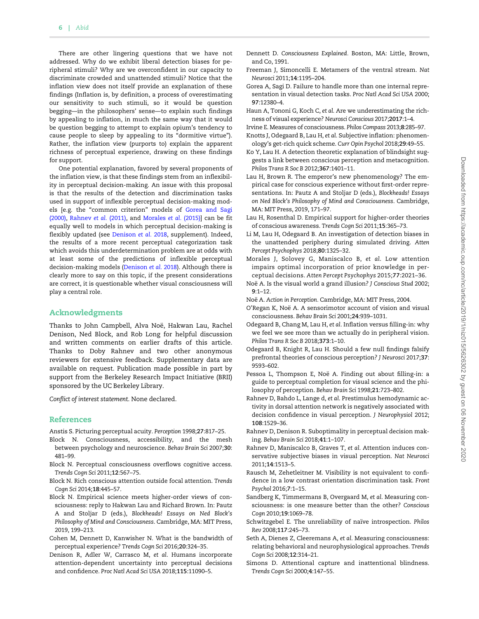<span id="page-5-0"></span>There are other lingering questions that we have not addressed. Why do we exhibit liberal detection biases for peripheral stimuli? Why are we overconfident in our capacity to discriminate crowded and unattended stimuli? Notice that the inflation view does not itself provide an explanation of these findings (Inflation is, by definition, a process of overestimating our sensitivity to such stimuli, so it would be question begging—in the philosophers' sense—to explain such findings by appealing to inflation, in much the same way that it would be question begging to attempt to explain opium's tendency to cause people to sleep by appealing to its "dormitive virtue"). Rather, the inflation view (purports to) explain the apparent richness of perceptual experience, drawing on these findings for support.

One potential explanation, favored by several proponents of the inflation view, is that these findings stem from an inflexibility in perceptual decision-making. An issue with this proposal is that the results of the detection and discrimination tasks used in support of inflexible perceptual decision-making models [e.g. the "common criterion" models of Gorea and Sagi (2000), Rahnev et al. (2011), and Morales et al. (2015)] can be fit equally well to models in which perceptual decision-making is flexibly updated (see Denison et al. 2018, supplement). Indeed, the results of a more recent perceptual categorization task which avoids this underdetermination problem are at odds with at least some of the predictions of inflexible perceptual decision-making models (Denison et al. 2018). Although there is clearly more to say on this topic, if the present considerations are correct, it is questionable whether visual consciousness will play a central role.

# Acknowledgments

Thanks to John Campbell, Alva Noë, Hakwan Lau, Rachel Denison, Ned Block, and Rob Long for helpful discussion and written comments on earlier drafts of this article. Thanks to Doby Rahnev and two other anonymous reviewers for extensive feedback. Supplementary data are available on request. Publication made possible in part by support from the Berkeley Research Impact Initiative (BRII) sponsored by the UC Berkeley Library.

Conflict of interest statement. None declared.

# **References**

Anstis S. Picturing perceptual acuity. Perception 1998;27:817–25.

- Block N. Consciousness, accessibility, and the mesh between psychology and neuroscience. Behav Brain Sci 2007;30: 481–99.
- Block N. Perceptual consciousness overflows cognitive access. Trends Cogn Sci 2011;12:567–75.
- Block N. Rich conscious attention outside focal attention. Trends Cogn Sci 2014;18:445–57.
- Block N. Empirical science meets higher-order views of consciousness: reply to Hakwan Lau and Richard Brown. In: Pautz A and Stoljar D (eds.), Blockheads! Essays on Ned Block's Philosophy of Mind and Consciousness. Cambridge, MA: MIT Press, 2019, 199–213.
- Cohen M, Dennett D, Kanwisher N. What is the bandwidth of perceptual experience? Trends Cogn Sci 2016;20:324–35.
- Denison R, Adler W, Carrasco M, et al. Humans incorporate attention-dependent uncertainty into perceptual decisions and confidence. Proc Natl Acad Sci USA 2018;115:11090–5.
- Dennett D. Consciousness Explained. Boston, MA: Little, Brown, and Co, 1991.
- Freeman J, Simoncelli E. Metamers of the ventral stream. Nat Neurosci 2011;14:1195–204.
- Gorea A, Sagi D. Failure to handle more than one internal representation in visual detection tasks. Proc Natl Acad Sci USA 2000; 97:12380–4.
- Haun A, Tononi G, Koch C, et al. Are we underestimating the richness of visual experience? Neurosci Conscious 2017;2017:1–4.
- Irvine E. Measures of consciousness. Philos Compass 2013;8:285–97.
- Knotts J, Odegaard B, Lau H, et al. Subjective inflation: phenomenology's get-rich quick scheme. Curr Opin Psychol 2018;29:49–55.
- Ko Y, Lau H. A detection theoretic explanation of blindsight suggests a link between conscious perception and metacognition. Philos Trans R Soc B 2012;367:1401–11.
- Lau H, Brown R. The emperor's new phenomenology? The empirical case for conscious experience without first-order representations. In: Pautz A and Stoljar D (eds.), Blockheads! Essays on Ned Block's Philosophy of Mind and Consciousness. Cambridge, MA: MIT Press, 2019, 171–97.
- Lau H, Rosenthal D. Empirical support for higher-order theories of conscious awareness. Trends Cogn Sci 2011;15:365–73.
- Li M, Lau H, Odegaard B. An investigation of detection biases in the unattended periphery during simulated driving. Atten Percept Psychophys 2018;80:1325–32.
- Morales J, Solovey G, Maniscalco B, et al. Low attention impairs optimal incorporation of prior knowledge in perceptual decisions. Atten Percept Psychophys 2015;77:2021–36.
- Noë A. Is the visual world a grand illusion? J Conscious Stud 2002; 9:1–12.
- Noë A. Action in Perception. Cambridge, MA: MIT Press, 2004.
- O'Regan K, Noë A. A sensorimotor account of vision and visual consciousness. Behav Brain Sci 2001;24:939–1031.
- Odegaard B, Chang M, Lau H, et al. Inflation versus filling-in: why we feel we see more than we actually do in peripheral vision. Philos Trans R Soc B 2018;373:1–10.
- Odegaard B, Knight R, Lau H. Should a few null findings falsify prefrontal theories of conscious perception? J Neurosci 2017;37: 9593–602.
- Pessoa L, Thompson E, Noë A. Finding out about filling-in: a guide to perceptual completion for visual science and the philosophy of perception. Behav Brain Sci 1998;21:723–802.
- Rahnev D, Bahdo L, Lange d, et al. Prestimulus hemodynamic activity in dorsal attention network is negatively associated with decision confidence in visual perception. J Neurophysiol 2012; 108:1529–36.
- Rahnev D, Denison R. Suboptimality in perceptual decision making. Behav Brain Sci 2018;41:1–107.
- Rahnev D, Maniscalco B, Graves T, et al. Attention induces conservative subjective biases in visual perception. Nat Neurosci 2011;14:1513–5.
- Rausch M, Zehetleitner M. Visibility is not equivalent to confidence in a low contrast orientation discrimination task. Front Psychol 2016;7:1–15.
- Sandberg K, Timmermans B, Overgaard M, et al. Measuring consciousness: is one measure better than the other? Conscious Cogn 2010;19:1069–78.
- Schwitzgebel E. The unreliability of naïve introspection. Philos Rev 2008;117:245–73.
- Seth A, Dienes Z, Cleeremans A, et al. Measuring consciousness: relating behavioral and neurophysiological approaches. Trends Cogn Sci 2008;12:314–21.
- Simons D. Attentional capture and inattentional blindness. Trends Cogn Sci 2000;4:147–55.